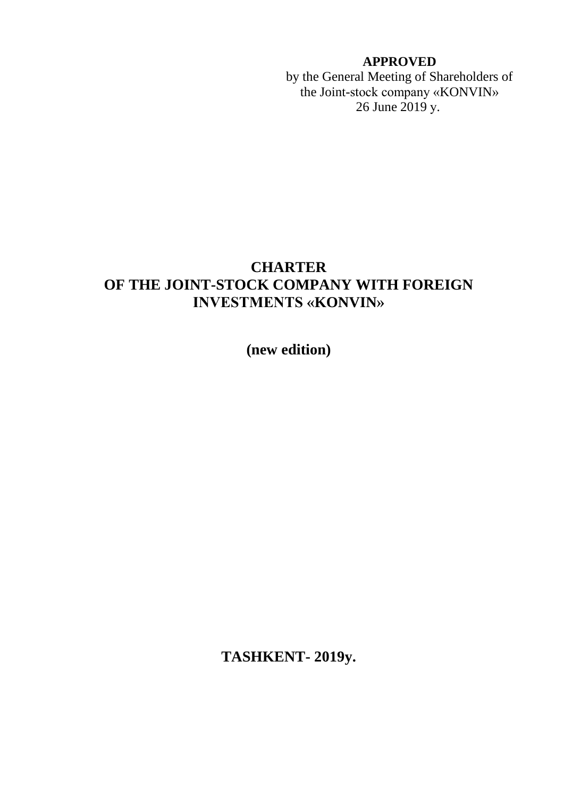# **APPROVED**

by the General Meeting of Shareholders of the Joint-stock company «KONVIN» 26 June 2019 у.

# **CHARTER OF THE JOINT-STOCK COMPANY WITH FOREIGN INVESTMENTS «KONVIN»**

**(new edition)**

**TASHKENT- 2019y.**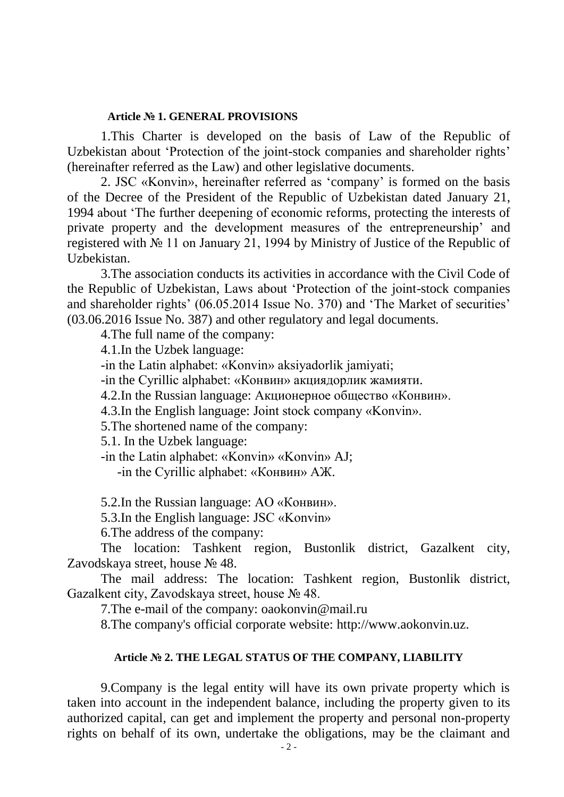#### **Article № 1. GENERAL PROVISIONS**

1.This Charter is developed on the basis of Law of the Republic of Uzbekistan about 'Protection of the joint-stock companies and shareholder rights' (hereinafter referred as the Law) and other legislative documents.

2. JSC «Konvin», hereinafter referred as 'company' is formed on the basis of the Decree of the President of the Republic of Uzbekistan dated January 21, 1994 about 'The further deepening of economic reforms, protecting the interests of private property and the development measures of the entrepreneurship' and registered with № 11 on January 21, 1994 by Ministry of Justice of the Republic of Uzbekistan.

3.The association conducts its activities in accordance with the Civil Code of the Republic of Uzbekistan, Laws about 'Protection of the joint-stock companies and shareholder rights' (06.05.2014 Issue No. 370) and 'The Market of securities' (03.06.2016 Issue No. 387) and other regulatory and legal documents.

4.The full name of the company:

4.1.In the Uzbek language:

-in the Latin alphabet: «Konvin» aksiyadorlik jamiyati;

-in the Cyrillic alphabet: «Конвин» акциядорлик жамияти.

4.2.In the Russian language: Акционерное общество «Конвин».

4.3.In the English language: Joint stock company «Konvin».

5.The shortened name of the company:

5.1. In the Uzbek language:

-in the Latin alphabet: «Konvin» «Konvin» AJ;

-in the Cyrillic alphabet: «Конвин» АЖ.

5.2.In the Russian language: АО «Конвин».

5.3.In the English language: JSC «Konvin»

6.The address of the company:

The location: Tashkent region, Bustonlik district, Gazalkent city, Zavodskaya street, house № 48.

The mail address: The location: Tashkent region, Bustonlik district, Gazalkent city, Zavodskaya street, house № 48.

7.The e-mail of the company: oaokonvin@mail.ru

8.The company's official corporate website: http://www.aokonvin.uz.

### **Article № 2. THE LEGAL STATUS OF THE COMPANY, LIABILITY**

9.Company is the legal entity will have its own private property which is taken into account in the independent balance, including the property given to its authorized capital, can get and implement the property and personal non-property rights on behalf of its own, undertake the obligations, may be the claimant and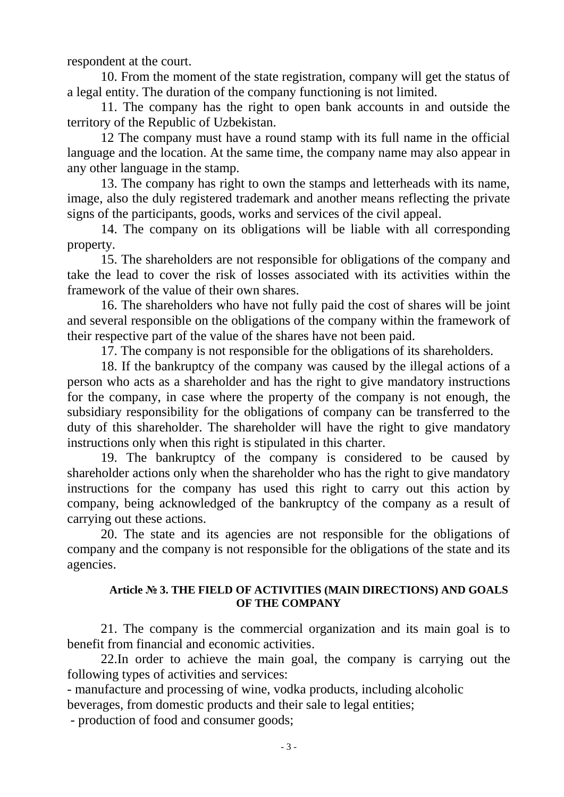respondent at the court.

10. From the moment of the state registration, company will get the status of a legal entity. The duration of the company functioning is not limited.

11. The company has the right to open bank accounts in and outside the territory of the Republic of Uzbekistan.

12 The company must have a round stamp with its full name in the official language and the location. At the same time, the company name may also appear in any other language in the stamp.

13. The company has right to own the stamps and letterheads with its name, image, also the duly registered trademark and another means reflecting the private signs of the participants, goods, works and services of the civil appeal.

14. The company on its obligations will be liable with all corresponding property.

15. The shareholders are not responsible for obligations of the company and take the lead to cover the risk of losses associated with its activities within the framework of the value of their own shares.

16. The shareholders who have not fully paid the cost of shares will be joint and several responsible on the obligations of the company within the framework of their respective part of the value of the shares have not been paid.

17. The company is not responsible for the obligations of its shareholders.

18. If the bankruptcy of the company was caused by the illegal actions of a person who acts as a shareholder and has the right to give mandatory instructions for the company, in case where the property of the company is not enough, the subsidiary responsibility for the obligations of company can be transferred to the duty of this shareholder. The shareholder will have the right to give mandatory instructions only when this right is stipulated in this charter.

19. The bankruptcy of the company is considered to be caused by shareholder actions only when the shareholder who has the right to give mandatory instructions for the company has used this right to carry out this action by company, being acknowledged of the bankruptcy of the company as a result of carrying out these actions.

20. The state and its agencies are not responsible for the obligations of company and the company is not responsible for the obligations of the state and its agencies.

### **Article № 3. THE FIELD OF ACTIVITIES (MAIN DIRECTIONS) AND GOALS OF THE COMPANY**

21. The company is the commercial organization and its main goal is to benefit from financial and economic activities.

22.In order to achieve the main goal, the company is carrying out the following types of activities and services:

- manufacture and processing of wine, vodka products, including alcoholic beverages, from domestic products and their sale to legal entities;

- production of food and consumer goods;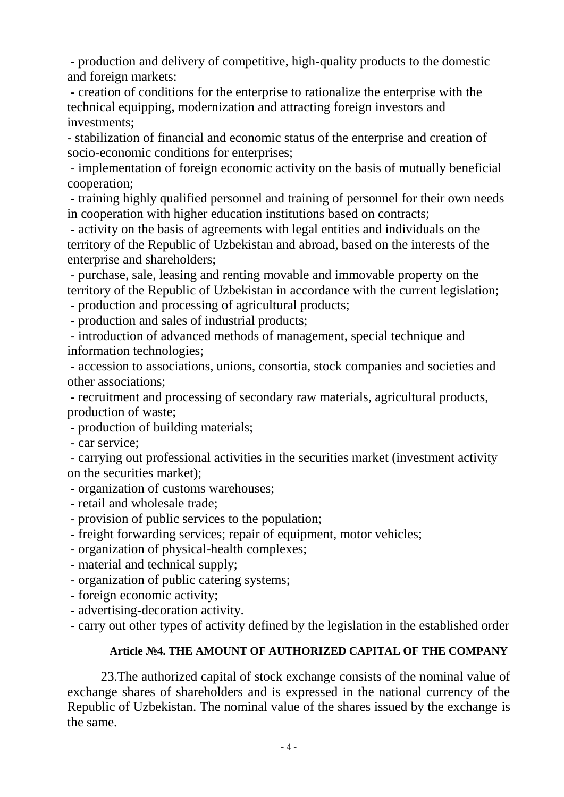- production and delivery of competitive, high-quality products to the domestic and foreign markets:

- creation of conditions for the enterprise to rationalize the enterprise with the technical equipping, modernization and attracting foreign investors and investments;

- stabilization of financial and economic status of the enterprise and creation of socio-economic conditions for enterprises;

- implementation of foreign economic activity on the basis of mutually beneficial cooperation;

- training highly qualified personnel and training of personnel for their own needs in cooperation with higher education institutions based on contracts;

- activity on the basis of agreements with legal entities and individuals on the territory of the Republic of Uzbekistan and abroad, based on the interests of the enterprise and shareholders;

- purchase, sale, leasing and renting movable and immovable property on the territory of the Republic of Uzbekistan in accordance with the current legislation;

- production and processing of agricultural products;

- production and sales of industrial products;

- introduction of advanced methods of management, special technique and information technologies;

- accession to associations, unions, consortia, stock companies and societies and other associations;

- recruitment and processing of secondary raw materials, agricultural products, production of waste;

- production of building materials;

- car service;

- carrying out professional activities in the securities market (investment activity on the securities market);

- organization of customs warehouses;
- retail and wholesale trade;
- provision of public services to the population;
- freight forwarding services; repair of equipment, motor vehicles;
- organization of physical-health complexes;
- material and technical supply;
- organization of public catering systems;
- foreign economic activity;
- advertising-decoration activity.
- carry out other types of activity defined by the legislation in the established order

# **Article №4. THE AMOUNT OF AUTHORIZED CAPITAL OF THE COMPANY**

23.The authorized capital of stock exchange consists of the nominal value of exchange shares of shareholders and is expressed in the national currency of the Republic of Uzbekistan. The nominal value of the shares issued by the exchange is the same.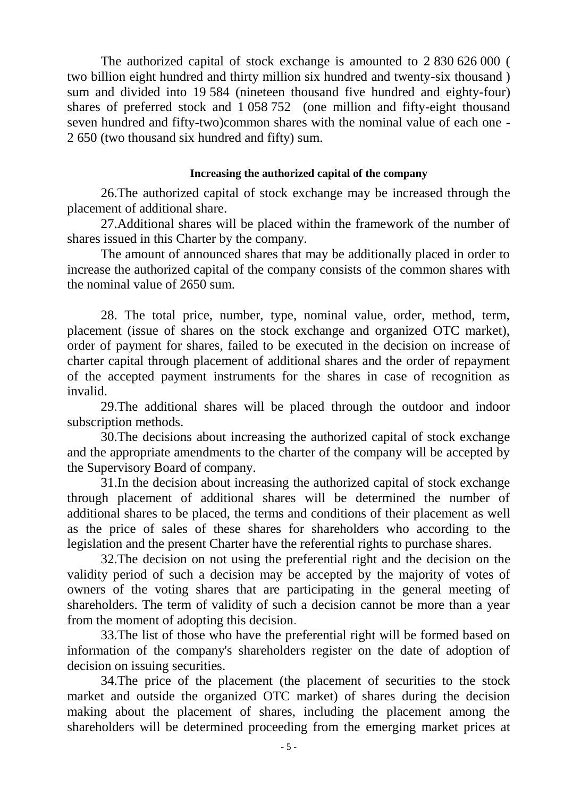The authorized capital of stock exchange is amounted to 2 830 626 000 ( two billion eight hundred and thirty million six hundred and twenty-six thousand ) sum and divided into 19 584 (nineteen thousand five hundred and eighty-four) shares of preferred stock and 1 058 752 (one million and fifty-eight thousand seven hundred and fifty-two)common shares with the nominal value of each one - 2 650 (two thousand six hundred and fifty) sum.

### **Increasing the authorized capital of the company**

26.The authorized capital of stock exchange may be increased through the placement of additional share.

27.Additional shares will be placed within the framework of the number of shares issued in this Charter by the company.

The amount of announced shares that may be additionally placed in order to increase the authorized capital of the company consists of the common shares with the nominal value of 2650 sum.

28. The total price, number, type, nominal value, order, method, term, placement (issue of shares on the stock exchange and organized OTC market), order of payment for shares, failed to be executed in the decision on increase of charter capital through placement of additional shares and the order of repayment of the accepted payment instruments for the shares in case of recognition as invalid.

29.The additional shares will be placed through the outdoor and indoor subscription methods.

30.The decisions about increasing the authorized capital of stock exchange and the appropriate amendments to the charter of the company will be accepted by the Supervisory Board of company.

31.In the decision about increasing the authorized capital of stock exchange through placement of additional shares will be determined the number of additional shares to be placed, the terms and conditions of their placement as well as the price of sales of these shares for shareholders who according to the legislation and the present Charter have the referential rights to purchase shares.

32.The decision on not using the preferential right and the decision on the validity period of such a decision may be accepted by the majority of votes of owners of the voting shares that are participating in the general meeting of shareholders. The term of validity of such a decision cannot be more than a year from the moment of adopting this decision.

33.The list of those who have the preferential right will be formed based on information of the company's shareholders register on the date of adoption of decision on issuing securities.

34.The price of the placement (the placement of securities to the stock market and outside the organized OTC market) of shares during the decision making about the placement of shares, including the placement among the shareholders will be determined proceeding from the emerging market prices at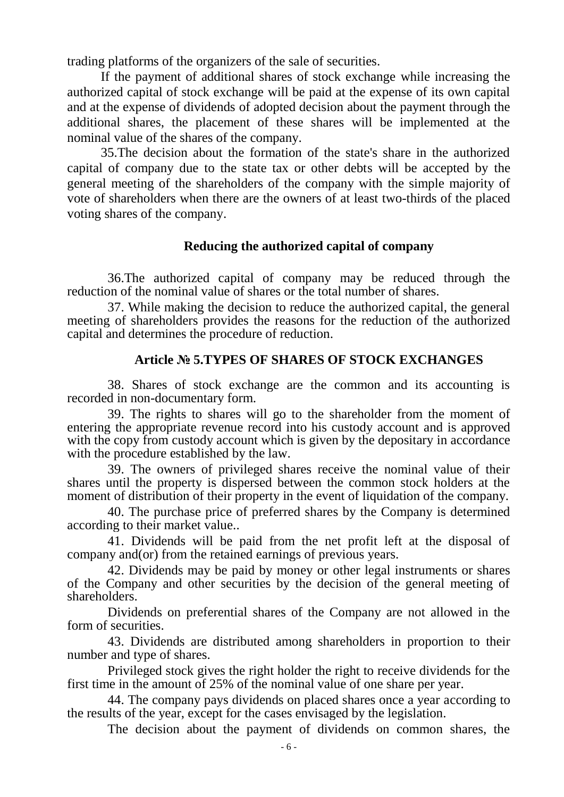trading platforms of the organizers of the sale of securities.

If the payment of additional shares of stock exchange while increasing the authorized capital of stock exchange will be paid at the expense of its own capital and at the expense of dividends of adopted decision about the payment through the additional shares, the placement of these shares will be implemented at the nominal value of the shares of the company.

35.The decision about the formation of the state's share in the authorized capital of company due to the state tax or other debts will be accepted by the general meeting of the shareholders of the company with the simple majority of vote of shareholders when there are the owners of at least two-thirds of the placed voting shares of the company.

# **Reducing the authorized capital of company**

36.The authorized capital of company may be reduced through the reduction of the nominal value of shares or the total number of shares.

37. While making the decision to reduce the authorized capital, the general meeting of shareholders provides the reasons for the reduction of the authorized capital and determines the procedure of reduction.

# **Article № 5.TYPES OF SHARES OF STOCK EXCHANGES**

38. Shares of stock exchange are the common and its accounting is recorded in non-documentary form.

39. The rights to shares will go to the shareholder from the moment of entering the appropriate revenue record into his custody account and is approved with the copy from custody account which is given by the depositary in accordance with the procedure established by the law.

39. The owners of privileged shares receive the nominal value of their shares until the property is dispersed between the common stock holders at the moment of distribution of their property in the event of liquidation of the company.

40. The purchase price of preferred shares by the Company is determined according to their market value..

41. Dividends will be paid from the net profit left at the disposal of company and(or) from the retained earnings of previous years.

42. Dividends may be paid by money or other legal instruments or shares of the Company and other securities by the decision of the general meeting of shareholders.

Dividends on preferential shares of the Company are not allowed in the form of securities.

43. Dividends are distributed among shareholders in proportion to their number and type of shares.

Privileged stock gives the right holder the right to receive dividends for the first time in the amount of 25% of the nominal value of one share per year.

44. The company pays dividends on placed shares once a year according to the results of the year, except for the cases envisaged by the legislation.

The decision about the payment of dividends on common shares, the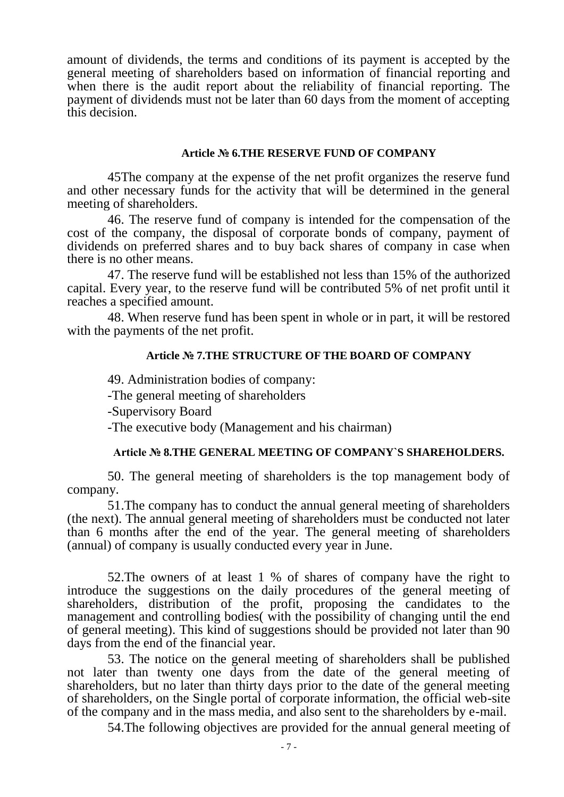amount of dividends, the terms and conditions of its payment is accepted by the general meeting of shareholders based on information of financial reporting and when there is the audit report about the reliability of financial reporting. The payment of dividends must not be later than 60 days from the moment of accepting this decision.

#### **Article № 6.THE RESERVE FUND OF COMPANY**

45The company at the expense of the net profit organizes the reserve fund and other necessary funds for the activity that will be determined in the general meeting of shareholders.

46. The reserve fund of company is intended for the compensation of the cost of the company, the disposal of corporate bonds of company, payment of dividends on preferred shares and to buy back shares of company in case when there is no other means.

47. The reserve fund will be established not less than 15% of the authorized capital. Every year, to the reserve fund will be contributed 5% of net profit until it reaches a specified amount.

48. When reserve fund has been spent in whole or in part, it will be restored with the payments of the net profit.

### **Article № 7.THE STRUCTURE OF THE BOARD OF COMPANY**

49. Administration bodies of company:

-The general meeting of shareholders

-Supervisory Board

-The executive body (Management and his chairman)

# **Article № 8.THE GENERAL MEETING OF COMPANY`S SHAREHOLDERS.**

50. The general meeting of shareholders is the top management body of company.

51.The company has to conduct the annual general meeting of shareholders (the next). The annual general meeting of shareholders must be conducted not later than 6 months after the end of the year. The general meeting of shareholders (annual) of company is usually conducted every year in June.

52.The owners of at least 1 % of shares of company have the right to introduce the suggestions on the daily procedures of the general meeting of shareholders, distribution of the profit, proposing the candidates to the management and controlling bodies( with the possibility of changing until the end of general meeting). This kind of suggestions should be provided not later than 90 days from the end of the financial year.

53. The notice on the general meeting of shareholders shall be published not later than twenty one days from the date of the general meeting of shareholders, but no later than thirty days prior to the date of the general meeting of shareholders, on the Single portal of corporate information, the official web-site of the company and in the mass media, and also sent to the shareholders by e-mail.

54.The following objectives are provided for the annual general meeting of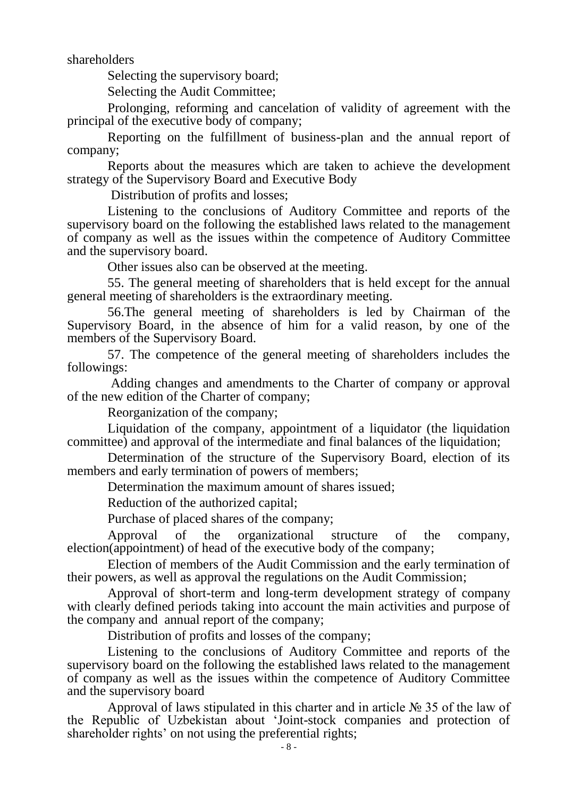shareholders

Selecting the supervisory board;

Selecting the Audit Committee;

Prolonging, reforming and cancelation of validity of agreement with the principal of the executive body of company;

Reporting on the fulfillment of business-plan and the annual report of company;

Reports about the measures which are taken to achieve the development strategy of the Supervisory Board and Executive Body

Distribution of profits and losses;

Listening to the conclusions of Auditory Committee and reports of the supervisory board on the following the established laws related to the management of company as well as the issues within the competence of Auditory Committee and the supervisory board.

Other issues also can be observed at the meeting.

55. The general meeting of shareholders that is held except for the annual general meeting of shareholders is the extraordinary meeting.

56.The general meeting of shareholders is led by Chairman of the Supervisory Board, in the absence of him for a valid reason, by one of the members of the Supervisory Board.

57. The competence of the general meeting of shareholders includes the followings:

Adding changes and amendments to the Charter of company or approval of the new edition of the Charter of company;

Reorganization of the company;

Liquidation of the company, appointment of a liquidator (the liquidation committee) and approval of the intermediate and final balances of the liquidation;

Determination of the structure of the Supervisory Board, election of its members and early termination of powers of members;

Determination the maximum amount of shares issued;

Reduction of the authorized capital;

Purchase of placed shares of the company;

Approval of the organizational structure of the company, election(appointment) of head of the executive body of the company;

Election of members of the Audit Commission and the early termination of their powers, as well as approval the regulations on the Audit Commission;

Approval of short-term and long-term development strategy of company with clearly defined periods taking into account the main activities and purpose of the company and annual report of the company;

Distribution of profits and losses of the company;

Listening to the conclusions of Auditory Committee and reports of the supervisory board on the following the established laws related to the management of company as well as the issues within the competence of Auditory Committee and the supervisory board

Approval of laws stipulated in this charter and in article № 35 of the law of the Republic of Uzbekistan about 'Joint-stock companies and protection of shareholder rights' on not using the preferential rights;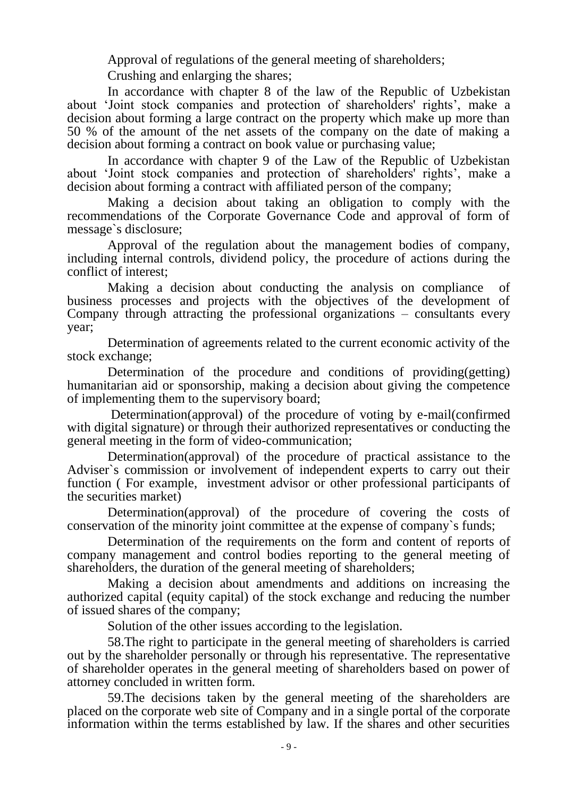Approval of regulations of the general meeting of shareholders;

Crushing and enlarging the shares;

In accordance with chapter 8 of the law of the Republic of Uzbekistan about 'Joint stock companies and protection of shareholders' rights', make a decision about forming a large contract on the property which make up more than 50 % of the amount of the net assets of the company on the date of making a decision about forming a contract on book value or purchasing value;

In accordance with chapter 9 of the Law of the Republic of Uzbekistan about 'Joint stock companies and protection of shareholders' rights', make a decision about forming a contract with affiliated person of the company;

Making a decision about taking an obligation to comply with the recommendations of the Corporate Governance Code and approval of form of message`s disclosure;

Approval of the regulation about the management bodies of company, including internal controls, dividend policy, the procedure of actions during the conflict of interest;

Making a decision about conducting the analysis on compliance of business processes and projects with the objectives of the development of Company through attracting the professional organizations – consultants every year;

Determination of agreements related to the current economic activity of the stock exchange;

Determination of the procedure and conditions of providing(getting) humanitarian aid or sponsorship, making a decision about giving the competence of implementing them to the supervisory board;

Determination(approval) of the procedure of voting by e-mail(confirmed with digital signature) or through their authorized representatives or conducting the general meeting in the form of video-communication;

Determination(approval) of the procedure of practical assistance to the Adviser`s commission or involvement of independent experts to carry out their function ( For example, investment advisor or other professional participants of the securities market)

Determination(approval) of the procedure of covering the costs of conservation of the minority joint committee at the expense of company`s funds;

Determination of the requirements on the form and content of reports of company management and control bodies reporting to the general meeting of shareholders, the duration of the general meeting of shareholders;

Making a decision about amendments and additions on increasing the authorized capital (equity capital) of the stock exchange and reducing the number of issued shares of the company;

Solution of the other issues according to the legislation.

58.The right to participate in the general meeting of shareholders is carried out by the shareholder personally or through his representative. The representative of shareholder operates in the general meeting of shareholders based on power of attorney concluded in written form.

59.The decisions taken by the general meeting of the shareholders are placed on the corporate web site of Company and in a single portal of the corporate information within the terms established by law. If the shares and other securities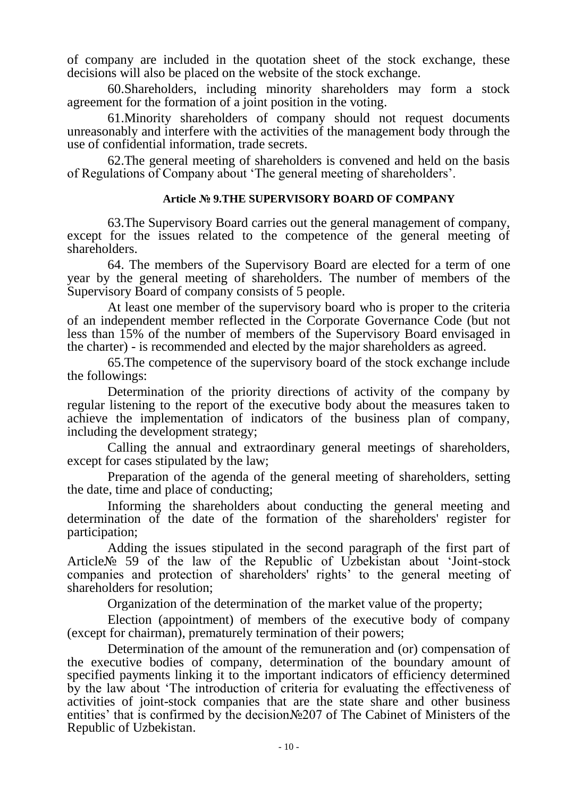of company are included in the quotation sheet of the stock exchange, these decisions will also be placed on the website of the stock exchange.

60.Shareholders, including minority shareholders may form a stock agreement for the formation of a joint position in the voting.

61.Minority shareholders of company should not request documents unreasonably and interfere with the activities of the management body through the use of confidential information, trade secrets.

62.The general meeting of shareholders is convened and held on the basis of Regulations of Company about 'The general meeting of shareholders'.

### **Article № 9.THE SUPERVISORY BOARD OF COMPANY**

63.The Supervisory Board carries out the general management of company, except for the issues related to the competence of the general meeting of shareholders.

64. The members of the Supervisory Board are elected for a term of one year by the general meeting of shareholders. The number of members of the Supervisory Board of company consists of 5 people.

At least one member of the supervisory board who is proper to the criteria of an independent member reflected in the Corporate Governance Code (but not less than 15% of the number of members of the Supervisory Board envisaged in the charter) - is recommended and elected by the major shareholders as agreed.

65.The competence of the supervisory board of the stock exchange include the followings:

Determination of the priority directions of activity of the company by regular listening to the report of the executive body about the measures taken to achieve the implementation of indicators of the business plan of company, including the development strategy;

Calling the annual and extraordinary general meetings of shareholders, except for cases stipulated by the law;

Preparation of the agenda of the general meeting of shareholders, setting the date, time and place of conducting;

Informing the shareholders about conducting the general meeting and determination of the date of the formation of the shareholders' register for participation;

Adding the issues stipulated in the second paragraph of the first part of Article№ 59 of the law of the Republic of Uzbekistan about 'Joint-stock companies and protection of shareholders' rights' to the general meeting of shareholders for resolution;

Organization of the determination of the market value of the property;

Election (appointment) of members of the executive body of company (except for chairman), prematurely termination of their powers;

Determination of the amount of the remuneration and (or) compensation of the executive bodies of company, determination of the boundary amount of specified payments linking it to the important indicators of efficiency determined by the law about 'The introduction of criteria for evaluating the effectiveness of activities of joint-stock companies that are the state share and other business entities' that is confirmed by the decision№207 of The Cabinet of Ministers of the Republic of Uzbekistan.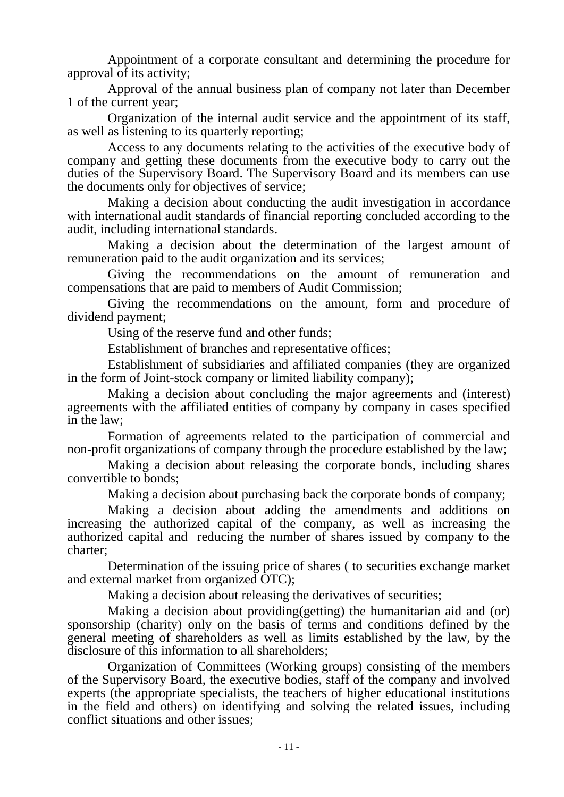Appointment of a corporate consultant and determining the procedure for approval of its activity;

Approval of the annual business plan of company not later than December 1 of the current year;

Organization of the internal audit service and the appointment of its staff, as well as listening to its quarterly reporting;

Access to any documents relating to the activities of the executive body of company and getting these documents from the executive body to carry out the duties of the Supervisory Board. The Supervisory Board and its members can use the documents only for objectives of service;

Making a decision about conducting the audit investigation in accordance with international audit standards of financial reporting concluded according to the audit, including international standards.

Making a decision about the determination of the largest amount of remuneration paid to the audit organization and its services;

Giving the recommendations on the amount of remuneration and compensations that are paid to members of Audit Commission;

Giving the recommendations on the amount, form and procedure of dividend payment;

Using of the reserve fund and other funds;

Establishment of branches and representative offices;

Establishment of subsidiaries and affiliated companies (they are organized in the form of Joint-stock company or limited liability company);

Making a decision about concluding the major agreements and (interest) agreements with the affiliated entities of company by company in cases specified in the law;

Formation of agreements related to the participation of commercial and non-profit organizations of company through the procedure established by the law;

Making a decision about releasing the corporate bonds, including shares convertible to bonds;

Making a decision about purchasing back the corporate bonds of company;

Making a decision about adding the amendments and additions on increasing the authorized capital of the company, as well as increasing the authorized capital and reducing the number of shares issued by company to the charter;

Determination of the issuing price of shares ( to securities exchange market and external market from organized OTC);

Making a decision about releasing the derivatives of securities;

Making a decision about providing(getting) the humanitarian aid and (or) sponsorship (charity) only on the basis of terms and conditions defined by the general meeting of shareholders as well as limits established by the law, by the disclosure of this information to all shareholders;

Organization of Committees (Working groups) consisting of the members of the Supervisory Board, the executive bodies, staff of the company and involved experts (the appropriate specialists, the teachers of higher educational institutions in the field and others) on identifying and solving the related issues, including conflict situations and other issues;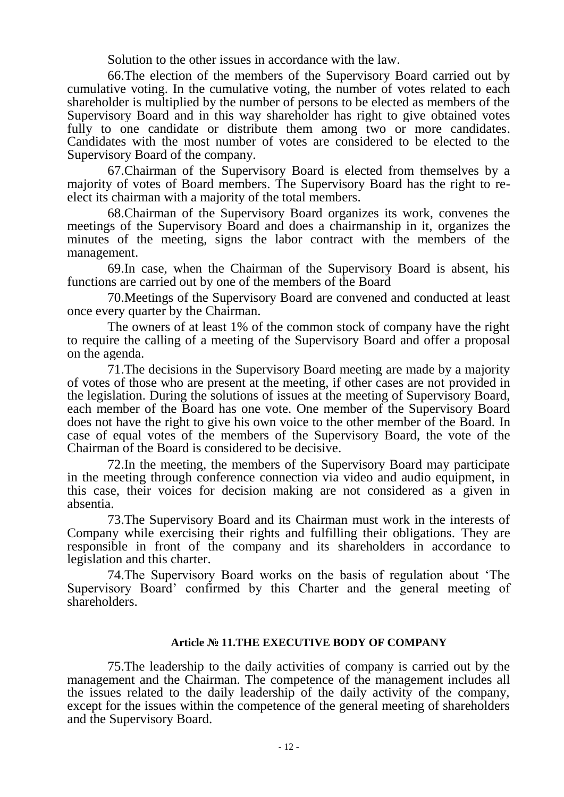Solution to the other issues in accordance with the law.

66.The election of the members of the Supervisory Board carried out by cumulative voting. In the cumulative voting, the number of votes related to each shareholder is multiplied by the number of persons to be elected as members of the Supervisory Board and in this way shareholder has right to give obtained votes fully to one candidate or distribute them among two or more candidates. Candidates with the most number of votes are considered to be elected to the Supervisory Board of the company.

67.Chairman of the Supervisory Board is elected from themselves by a majority of votes of Board members. The Supervisory Board has the right to reelect its chairman with a majority of the total members.

68.Chairman of the Supervisory Board organizes its work, convenes the meetings of the Supervisory Board and does a chairmanship in it, organizes the minutes of the meeting, signs the labor contract with the members of the management.

69.In case, when the Chairman of the Supervisory Board is absent, his functions are carried out by one of the members of the Board

70.Meetings of the Supervisory Board are convened and conducted at least once every quarter by the Chairman.

The owners of at least 1% of the common stock of company have the right to require the calling of a meeting of the Supervisory Board and offer a proposal on the agenda.

71.The decisions in the Supervisory Board meeting are made by a majority of votes of those who are present at the meeting, if other cases are not provided in the legislation. During the solutions of issues at the meeting of Supervisory Board, each member of the Board has one vote. One member of the Supervisory Board does not have the right to give his own voice to the other member of the Board. In case of equal votes of the members of the Supervisory Board, the vote of the Chairman of the Board is considered to be decisive.

72.In the meeting, the members of the Supervisory Board may participate in the meeting through conference connection via video and audio equipment, in this case, their voices for decision making are not considered as a given in absentia.

73.The Supervisory Board and its Chairman must work in the interests of Company while exercising their rights and fulfilling their obligations. They are responsible in front of the company and its shareholders in accordance to legislation and this charter.

74.The Supervisory Board works on the basis of regulation about 'The Supervisory Board' confirmed by this Charter and the general meeting of shareholders.

#### **Article № 11.THE EXECUTIVE BODY OF COMPANY**

75.The leadership to the daily activities of company is carried out by the management and the Chairman. The competence of the management includes all the issues related to the daily leadership of the daily activity of the company, except for the issues within the competence of the general meeting of shareholders and the Supervisory Board.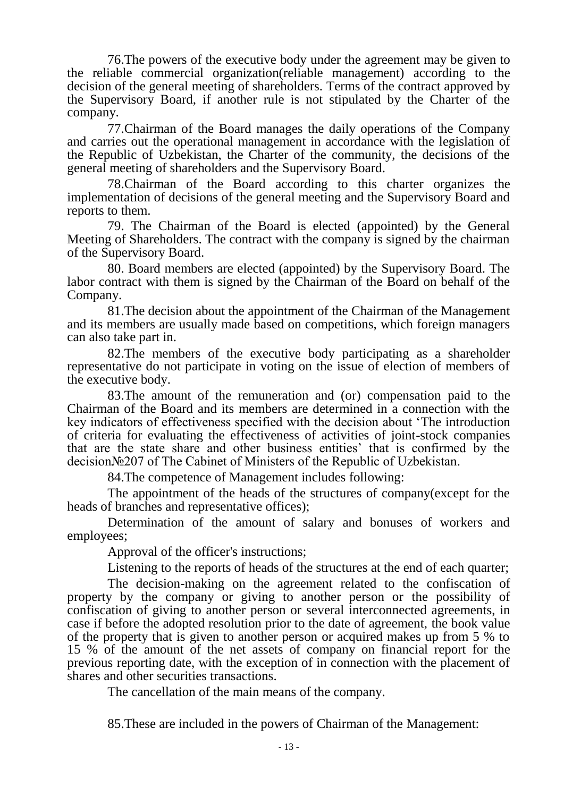76.The powers of the executive body under the agreement may be given to the reliable commercial organization(reliable management) according to the decision of the general meeting of shareholders. Terms of the contract approved by the Supervisory Board, if another rule is not stipulated by the Charter of the company.

77.Chairman of the Board manages the daily operations of the Company and carries out the operational management in accordance with the legislation of the Republic of Uzbekistan, the Charter of the community, the decisions of the general meeting of shareholders and the Supervisory Board.

78.Chairman of the Board according to this charter organizes the implementation of decisions of the general meeting and the Supervisory Board and reports to them.

79. The Chairman of the Board is elected (appointed) by the General Meeting of Shareholders. The contract with the company is signed by the chairman of the Supervisory Board.

80. Board members are elected (appointed) by the Supervisory Board. The labor contract with them is signed by the Chairman of the Board on behalf of the Company.

81.The decision about the appointment of the Chairman of the Management and its members are usually made based on competitions, which foreign managers can also take part in.

82.The members of the executive body participating as a shareholder representative do not participate in voting on the issue of election of members of the executive body.

83.The amount of the remuneration and (or) compensation paid to the Chairman of the Board and its members are determined in a connection with the key indicators of effectiveness specified with the decision about 'The introduction of criteria for evaluating the effectiveness of activities of joint-stock companies that are the state share and other business entities' that is confirmed by the decision№207 of The Cabinet of Ministers of the Republic of Uzbekistan.

84.The competence of Management includes following:

The appointment of the heads of the structures of company(except for the heads of branches and representative offices);

Determination of the amount of salary and bonuses of workers and employees;

Approval of the officer's instructions;

Listening to the reports of heads of the structures at the end of each quarter;

The decision-making on the agreement related to the confiscation of property by the company or giving to another person or the possibility of confiscation of giving to another person or several interconnected agreements, in case if before the adopted resolution prior to the date of agreement, the book value of the property that is given to another person or acquired makes up from 5 % to 15 % of the amount of the net assets of company on financial report for the previous reporting date, with the exception of in connection with the placement of shares and other securities transactions.

The cancellation of the main means of the company.

85.These are included in the powers of Chairman of the Management: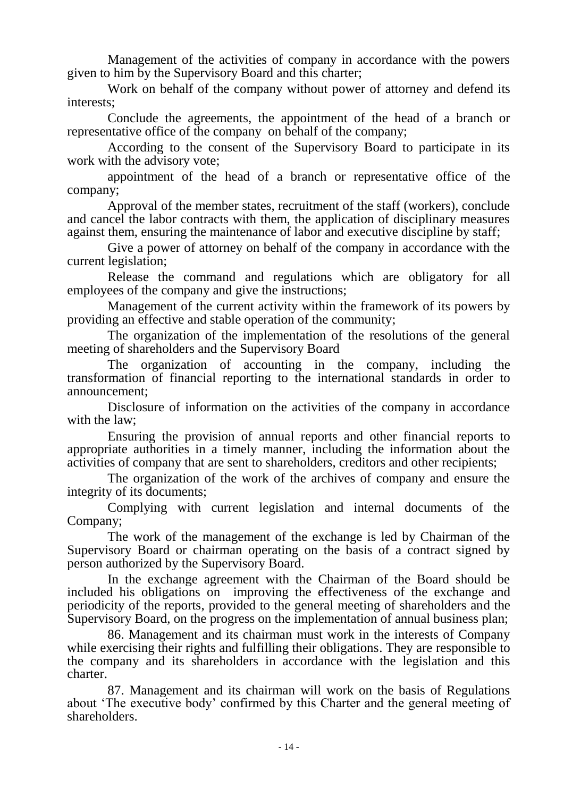Management of the activities of company in accordance with the powers given to him by the Supervisory Board and this charter;

Work on behalf of the company without power of attorney and defend its interests;

Conclude the agreements, the appointment of the head of a branch or representative office of the company on behalf of the company;

According to the consent of the Supervisory Board to participate in its work with the advisory vote;

appointment of the head of a branch or representative office of the company;

Approval of the member states, recruitment of the staff (workers), conclude and cancel the labor contracts with them, the application of disciplinary measures against them, ensuring the maintenance of labor and executive discipline by staff;

Give a power of attorney on behalf of the company in accordance with the current legislation;

Release the command and regulations which are obligatory for all employees of the company and give the instructions;

Management of the current activity within the framework of its powers by providing an effective and stable operation of the community;

The organization of the implementation of the resolutions of the general meeting of shareholders and the Supervisory Board

The organization of accounting in the company, including the transformation of financial reporting to the international standards in order to announcement;

Disclosure of information on the activities of the company in accordance with the law;

Ensuring the provision of annual reports and other financial reports to appropriate authorities in a timely manner, including the information about the activities of company that are sent to shareholders, creditors and other recipients;

The organization of the work of the archives of company and ensure the integrity of its documents;

Complying with current legislation and internal documents of the Company;

The work of the management of the exchange is led by Chairman of the Supervisory Board or chairman operating on the basis of a contract signed by person authorized by the Supervisory Board.

In the exchange agreement with the Chairman of the Board should be included his obligations on improving the effectiveness of the exchange and periodicity of the reports, provided to the general meeting of shareholders and the Supervisory Board, on the progress on the implementation of annual business plan;

86. Management and its chairman must work in the interests of Company while exercising their rights and fulfilling their obligations. They are responsible to the company and its shareholders in accordance with the legislation and this charter.

87. Management and its chairman will work on the basis of Regulations about 'The executive body' confirmed by this Charter and the general meeting of shareholders.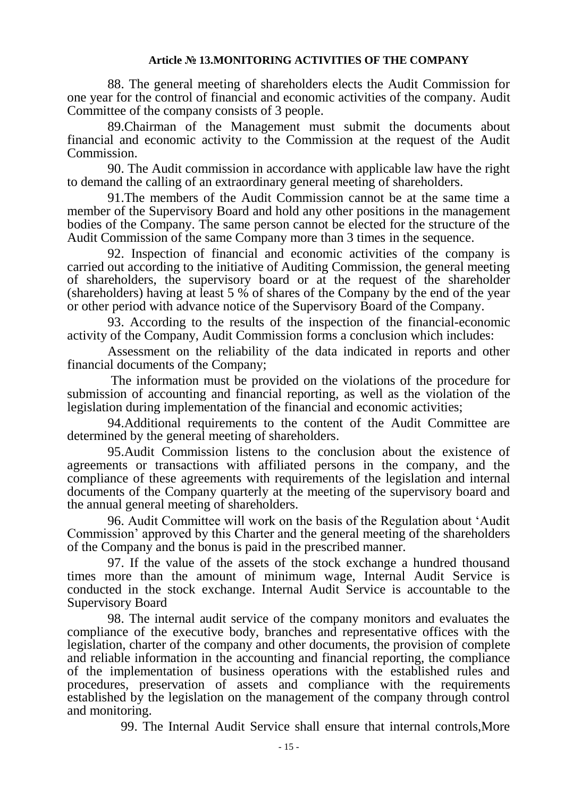### **Article № 13.MONITORING ACTIVITIES OF THE COMPANY**

88. The general meeting of shareholders elects the Audit Commission for one year for the control of financial and economic activities of the company. Audit Committee of the company consists of 3 people.

89.Chairman of the Management must submit the documents about financial and economic activity to the Commission at the request of the Audit Commission.

90. The Audit commission in accordance with applicable law have the right to demand the calling of an extraordinary general meeting of shareholders.

91.The members of the Audit Commission cannot be at the same time a member of the Supervisory Board and hold any other positions in the management bodies of the Company. The same person cannot be elected for the structure of the Audit Commission of the same Company more than 3 times in the sequence.

92. Inspection of financial and economic activities of the company is carried out according to the initiative of Auditing Commission, the general meeting of shareholders, the supervisory board or at the request of the shareholder (shareholders) having at least 5 % of shares of the Company by the end of the year or other period with advance notice of the Supervisory Board of the Company.

93. According to the results of the inspection of the financial-economic activity of the Company, Audit Commission forms a conclusion which includes:

Assessment on the reliability of the data indicated in reports and other financial documents of the Company;

The information must be provided on the violations of the procedure for submission of accounting and financial reporting, as well as the violation of the legislation during implementation of the financial and economic activities;

94.Additional requirements to the content of the Audit Committee are determined by the general meeting of shareholders.

95.Audit Commission listens to the conclusion about the existence of agreements or transactions with affiliated persons in the company, and the compliance of these agreements with requirements of the legislation and internal documents of the Company quarterly at the meeting of the supervisory board and the annual general meeting of shareholders.

96. Audit Committee will work on the basis of the Regulation about 'Audit Commission' approved by this Charter and the general meeting of the shareholders of the Company and the bonus is paid in the prescribed manner.

97. If the value of the assets of the stock exchange a hundred thousand times more than the amount of minimum wage, Internal Audit Service is conducted in the stock exchange. Internal Audit Service is accountable to the Supervisory Board

98. The internal audit service of the company monitors and evaluates the compliance of the executive body, branches and representative offices with the legislation, charter of the company and other documents, the provision of complete and reliable information in the accounting and financial reporting, the compliance of the implementation of business operations with the established rules and procedures, preservation of assets and compliance with the requirements established by the legislation on the management of the company through control and monitoring.

99. The Internal Audit Service shall ensure that internal controls,More